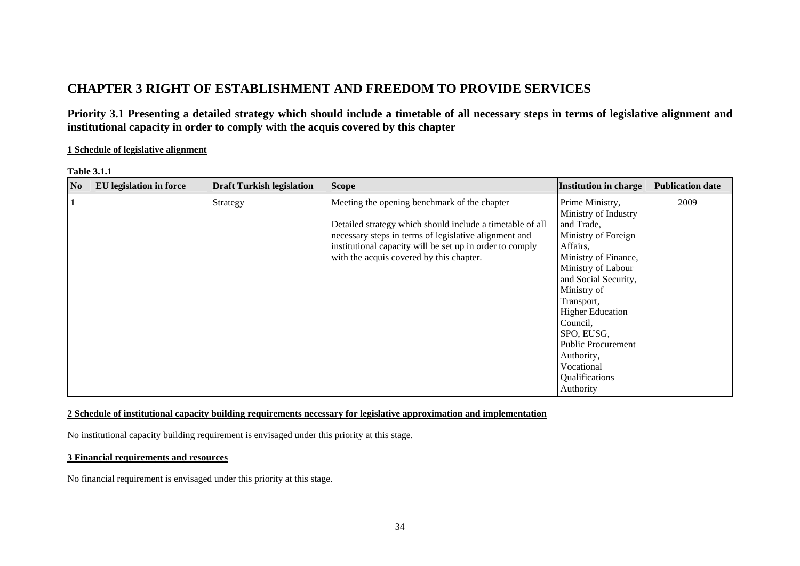# **CHAPTER 3 RIGHT OF ESTABLISHMENT AND FREEDOM TO PROVIDE SERVICES**

**Priority 3.1 Presenting a detailed strategy which should include a timetable of all necessary steps in terms of legislative alignment and institutional capacity in order to comply with the acquis covered by this chapter** 

#### **1 Schedule of legislative alignment**

| <b>Table 3.1.1</b> |  |
|--------------------|--|
|--------------------|--|

| N <sub>0</sub> | <b>EU</b> legislation in force | <b>Draft Turkish legislation</b> | <b>Scope</b>                                                                                                                                                                                                                                                               | <b>Institution in charge</b>                                                                                                                                                                                                                                                  | <b>Publication date</b> |
|----------------|--------------------------------|----------------------------------|----------------------------------------------------------------------------------------------------------------------------------------------------------------------------------------------------------------------------------------------------------------------------|-------------------------------------------------------------------------------------------------------------------------------------------------------------------------------------------------------------------------------------------------------------------------------|-------------------------|
|                |                                | Strategy                         | Meeting the opening benchmark of the chapter<br>Detailed strategy which should include a timetable of all<br>necessary steps in terms of legislative alignment and<br>institutional capacity will be set up in order to comply<br>with the acquis covered by this chapter. | Prime Ministry,<br>Ministry of Industry<br>and Trade,<br>Ministry of Foreign<br>Affairs,<br>Ministry of Finance,<br>Ministry of Labour<br>and Social Security,<br>Ministry of<br>Transport,<br><b>Higher Education</b><br>Council,<br>SPO, EUSG,<br><b>Public Procurement</b> | 2009                    |
|                |                                |                                  |                                                                                                                                                                                                                                                                            | Authority,<br>Vocational<br>Qualifications<br>Authority                                                                                                                                                                                                                       |                         |

#### **2 Schedule of institutional capacity building requirements necessary for legislative approximation and implementation**

No institutional capacity building requirement is envisaged under this priority at this stage.

#### **3 Financial requirements and resources**

No financial requirement is envisaged under this priority at this stage.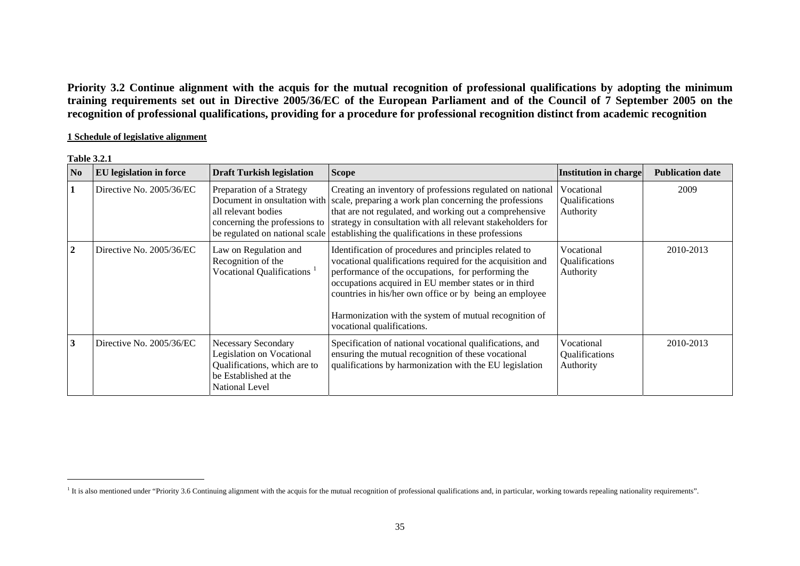**Priority 3.2 Continue alignment with the acquis for the mutual recognition of professional qualifications by adopting the minimum training requirements set out in Directive 2005/36/EC of the European Parliament and of the Council of 7 September 2005 on the recognition of professional qualifications, providing for a procedure for professional recognition distinct from academic recognition** 

#### **1 Schedule of legislative alignment**

#### **Table 3.2.1**

| $\bf No$     | <b>EU</b> legislation in force | <b>Draft Turkish legislation</b>                                                                                                                 | <b>Scope</b>                                                                                                                                                                                                                                                                                                                                                                                      | Institution in charge                     | <b>Publication date</b> |
|--------------|--------------------------------|--------------------------------------------------------------------------------------------------------------------------------------------------|---------------------------------------------------------------------------------------------------------------------------------------------------------------------------------------------------------------------------------------------------------------------------------------------------------------------------------------------------------------------------------------------------|-------------------------------------------|-------------------------|
|              | Directive No. 2005/36/EC       | Preparation of a Strategy<br>all relevant bodies                                                                                                 | Creating an inventory of professions regulated on national<br>Document in onsultation with scale, preparing a work plan concerning the professions<br>that are not regulated, and working out a comprehensive<br>concerning the professions to strategy in consultation with all relevant stakeholders for<br>be regulated on national scale establishing the qualifications in these professions | Vocational<br>Qualifications<br>Authority | 2009                    |
| $\mathbf{2}$ | Directive No. 2005/36/EC       | Law on Regulation and<br>Recognition of the<br>Vocational Qualifications <sup>1</sup>                                                            | Identification of procedures and principles related to<br>vocational qualifications required for the acquisition and<br>performance of the occupations, for performing the<br>occupations acquired in EU member states or in third<br>countries in his/her own office or by being an employee<br>Harmonization with the system of mutual recognition of<br>vocational qualifications.             | Vocational<br>Qualifications<br>Authority | 2010-2013               |
| 3            | Directive No. 2005/36/EC       | <b>Necessary Secondary</b><br><b>Legislation on Vocational</b><br>Qualifications, which are to<br>be Established at the<br><b>National Level</b> | Specification of national vocational qualifications, and<br>ensuring the mutual recognition of these vocational<br>qualifications by harmonization with the EU legislation                                                                                                                                                                                                                        | Vocational<br>Qualifications<br>Authority | 2010-2013               |

<span id="page-1-0"></span><sup>&</sup>lt;sup>1</sup> It is also mentioned under "Priority 3.6 Continuing alignment with the acquis for the mutual recognition of professional qualifications and, in particular, working towards repealing nationality requirements".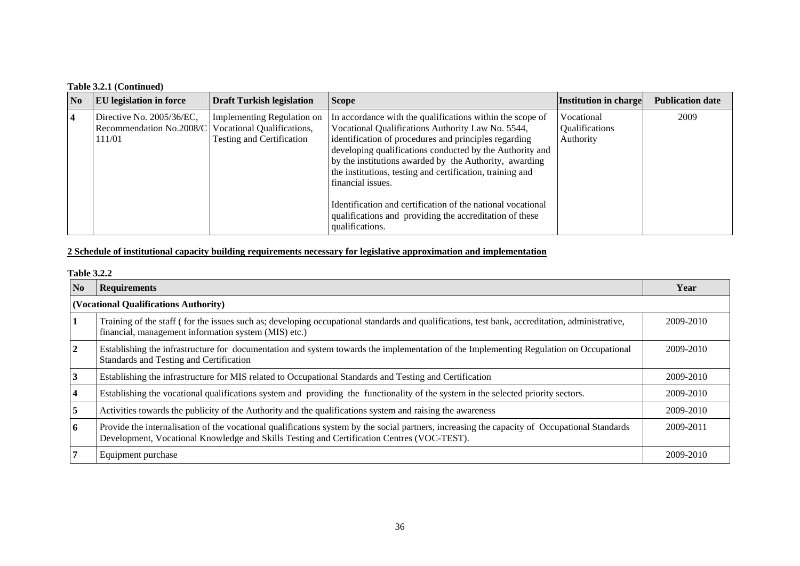## **Table 3.2.1 (Continued)**

| N <sub>0</sub> | <b>EU</b> legislation in force                                  | <b>Draft Turkish legislation</b>                                                                    | <b>Scope</b>                                                                                                                                                                                                                                                                                                                                                                                                                                                                                                                 | Institution in charge                     | <b>Publication date</b> |
|----------------|-----------------------------------------------------------------|-----------------------------------------------------------------------------------------------------|------------------------------------------------------------------------------------------------------------------------------------------------------------------------------------------------------------------------------------------------------------------------------------------------------------------------------------------------------------------------------------------------------------------------------------------------------------------------------------------------------------------------------|-------------------------------------------|-------------------------|
| $\sqrt{4}$     | Directive No. 2005/36/EC,<br>Recommendation No.2008/C<br>111/01 | <b>Implementing Regulation on</b><br>Vocational Qualifications,<br><b>Testing and Certification</b> | In accordance with the qualifications within the scope of<br>Vocational Qualifications Authority Law No. 5544,<br>identification of procedures and principles regarding<br>developing qualifications conducted by the Authority and<br>by the institutions awarded by the Authority, awarding<br>the institutions, testing and certification, training and<br>financial issues.<br>Identification and certification of the national vocational<br>qualifications and providing the accreditation of these<br>qualifications. | Vocational<br>Qualifications<br>Authority | 2009                    |

## **2 Schedule of institutional capacity building requirements necessary for legislative approximation and implementation**

#### **Table 3.2.2**

| No | <b>Requirements</b>                                                                                                                                                                                                                         | Year      |
|----|---------------------------------------------------------------------------------------------------------------------------------------------------------------------------------------------------------------------------------------------|-----------|
|    | (Vocational Qualifications Authority)                                                                                                                                                                                                       |           |
|    | Training of the staff (for the issues such as; developing occupational standards and qualifications, test bank, accreditation, administrative,<br>financial, management information system (MIS) etc.)                                      | 2009-2010 |
|    | Establishing the infrastructure for documentation and system towards the implementation of the Implementing Regulation on Occupational<br>Standards and Testing and Certification                                                           | 2009-2010 |
|    | Establishing the infrastructure for MIS related to Occupational Standards and Testing and Certification                                                                                                                                     | 2009-2010 |
|    | Establishing the vocational qualifications system and providing the functionality of the system in the selected priority sectors.                                                                                                           | 2009-2010 |
|    | Activities towards the publicity of the Authority and the qualifications system and raising the awareness                                                                                                                                   | 2009-2010 |
| 6  | Provide the internalisation of the vocational qualifications system by the social partners, increasing the capacity of Occupational Standards<br>Development, Vocational Knowledge and Skills Testing and Certification Centres (VOC-TEST). | 2009-2011 |
|    | Equipment purchase                                                                                                                                                                                                                          | 2009-2010 |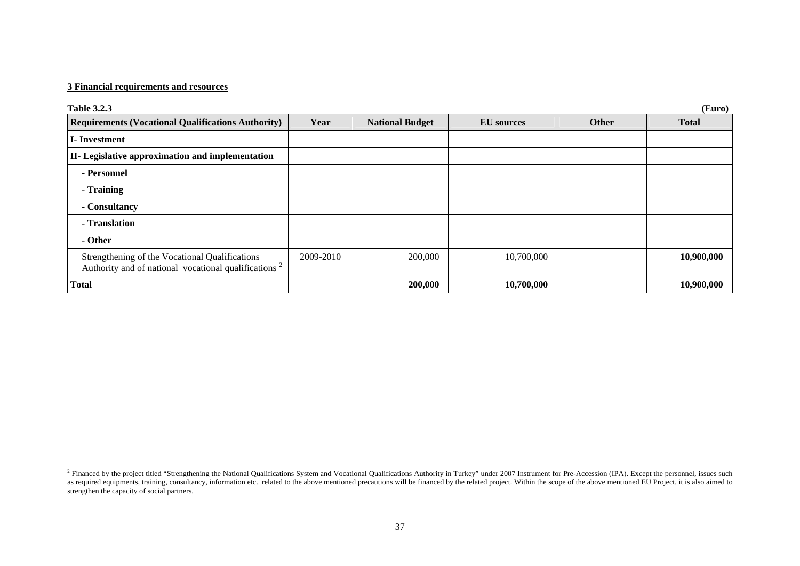#### **3 Financial requirements and resources**

| <b>Table 3.2.3</b>                                                                                                 |           |                        |                   |       | (Euro)       |
|--------------------------------------------------------------------------------------------------------------------|-----------|------------------------|-------------------|-------|--------------|
| <b>Requirements (Vocational Qualifications Authority)</b>                                                          | Year      | <b>National Budget</b> | <b>EU</b> sources | Other | <b>Total</b> |
| I-Investment                                                                                                       |           |                        |                   |       |              |
| II- Legislative approximation and implementation                                                                   |           |                        |                   |       |              |
| - Personnel                                                                                                        |           |                        |                   |       |              |
| - Training                                                                                                         |           |                        |                   |       |              |
| - Consultancy                                                                                                      |           |                        |                   |       |              |
| - Translation                                                                                                      |           |                        |                   |       |              |
| - Other                                                                                                            |           |                        |                   |       |              |
| Strengthening of the Vocational Qualifications<br>Authority and of national vocational qualifications <sup>2</sup> | 2009-2010 | 200,000                | 10,700,000        |       | 10,900,000   |
| <b>Total</b>                                                                                                       |           | 200,000                | 10,700,000        |       | 10,900,000   |

<span id="page-3-0"></span> $2$  Financed by the project titled "Strengthening the National Qualifications System and Vocational Qualifications Authority in Turkey" under 2007 Instrument for Pre-Accession (IPA). Except the personnel, issues such as required equipments, training, consultancy, information etc. related to the above mentioned precautions will be financed by the related project. Within the scope of the above mentioned EU Project, it is also aimed to strengthen the capacity of social partners.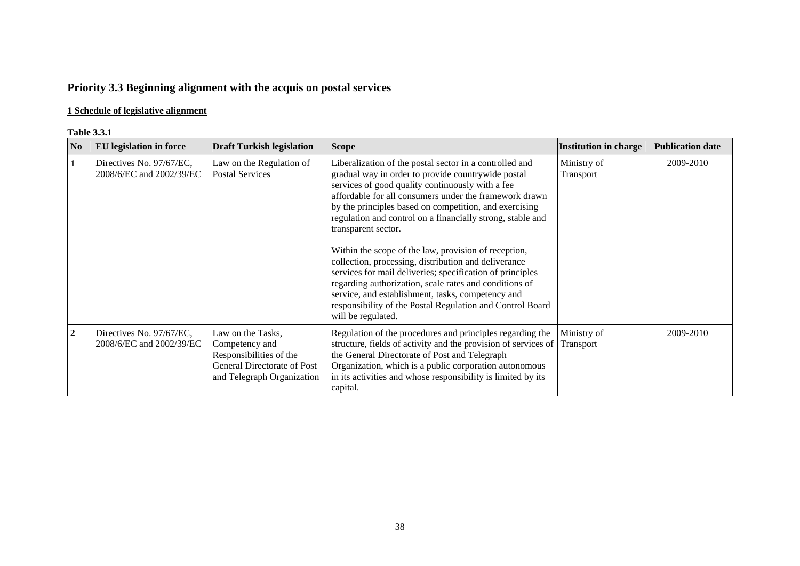# **Priority 3.3 Beginning alignment with the acquis on postal services**

## **1 Schedule of legislative alignment**

#### **Table 3.3.1**

| $\overline{\text{No}}$ | <b>EU</b> legislation in force                       | <b>Draft Turkish legislation</b>                                                                                            | <b>Scope</b>                                                                                                                                                                                                                                                                                                                                                                                                                                                                                                                                                                                                                                                                                                                                              | <b>Institution in charge</b> | <b>Publication date</b> |
|------------------------|------------------------------------------------------|-----------------------------------------------------------------------------------------------------------------------------|-----------------------------------------------------------------------------------------------------------------------------------------------------------------------------------------------------------------------------------------------------------------------------------------------------------------------------------------------------------------------------------------------------------------------------------------------------------------------------------------------------------------------------------------------------------------------------------------------------------------------------------------------------------------------------------------------------------------------------------------------------------|------------------------------|-------------------------|
|                        | Directives No. 97/67/EC,<br>2008/6/EC and 2002/39/EC | Law on the Regulation of<br><b>Postal Services</b>                                                                          | Liberalization of the postal sector in a controlled and<br>gradual way in order to provide countrywide postal<br>services of good quality continuously with a fee<br>affordable for all consumers under the framework drawn<br>by the principles based on competition, and exercising<br>regulation and control on a financially strong, stable and<br>transparent sector.<br>Within the scope of the law, provision of reception,<br>collection, processing, distribution and deliverance<br>services for mail deliveries; specification of principles<br>regarding authorization, scale rates and conditions of<br>service, and establishment, tasks, competency and<br>responsibility of the Postal Regulation and Control Board<br>will be regulated. | Ministry of<br>Transport     | 2009-2010               |
| $\boldsymbol{2}$       | Directives No. 97/67/EC,<br>2008/6/EC and 2002/39/EC | Law on the Tasks,<br>Competency and<br>Responsibilities of the<br>General Directorate of Post<br>and Telegraph Organization | Regulation of the procedures and principles regarding the<br>structure, fields of activity and the provision of services of<br>the General Directorate of Post and Telegraph<br>Organization, which is a public corporation autonomous<br>in its activities and whose responsibility is limited by its<br>capital.                                                                                                                                                                                                                                                                                                                                                                                                                                        | Ministry of<br>Transport     | 2009-2010               |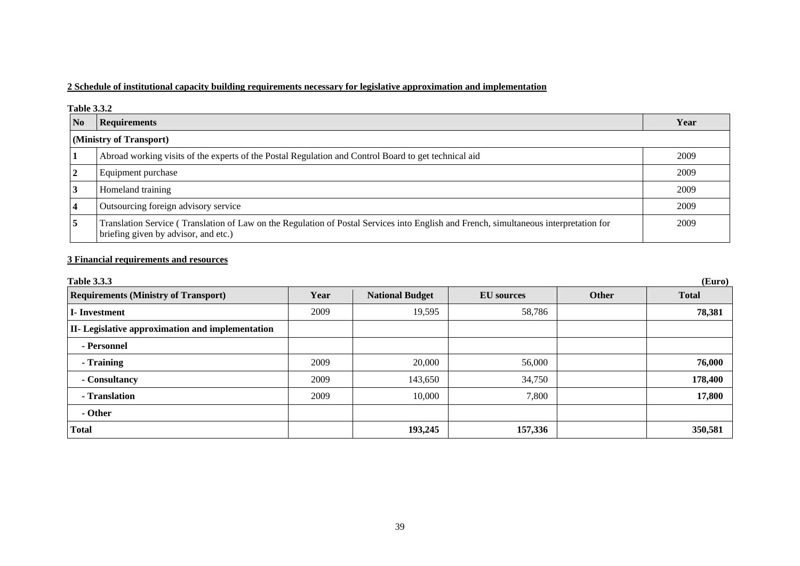### **2 Schedule of institutional capacity building requirements necessary for legislative approximation and implementation**

#### **Table 3.3.2**

| No | <b>Requirements</b>                                                                                                                                                           | Year |  |
|----|-------------------------------------------------------------------------------------------------------------------------------------------------------------------------------|------|--|
|    | (Ministry of Transport)                                                                                                                                                       |      |  |
|    | Abroad working visits of the experts of the Postal Regulation and Control Board to get technical aid                                                                          | 2009 |  |
|    | Equipment purchase                                                                                                                                                            | 2009 |  |
|    | Homeland training                                                                                                                                                             | 2009 |  |
|    | Outsourcing foreign advisory service                                                                                                                                          | 2009 |  |
|    | Translation Service (Translation of Law on the Regulation of Postal Services into English and French, simultaneous interpretation for<br>briefing given by advisor, and etc.) | 2009 |  |

## **3 Financial requirements and resources**

| <b>Table 3.3.3</b>                               |      |                        |                   |              | (Euro)       |
|--------------------------------------------------|------|------------------------|-------------------|--------------|--------------|
| <b>Requirements (Ministry of Transport)</b>      | Year | <b>National Budget</b> | <b>EU</b> sources | <b>Other</b> | <b>Total</b> |
| <b>I</b> -Investment                             | 2009 | 19,595                 | 58,786            |              | 78,381       |
| II- Legislative approximation and implementation |      |                        |                   |              |              |
| - Personnel                                      |      |                        |                   |              |              |
| - Training                                       | 2009 | 20,000                 | 56,000            |              | 76,000       |
| - Consultancy                                    | 2009 | 143,650                | 34,750            |              | 178,400      |
| - Translation                                    | 2009 | 10,000                 | 7,800             |              | 17,800       |
| - Other                                          |      |                        |                   |              |              |
| <b>Total</b>                                     |      | 193,245                | 157,336           |              | 350,581      |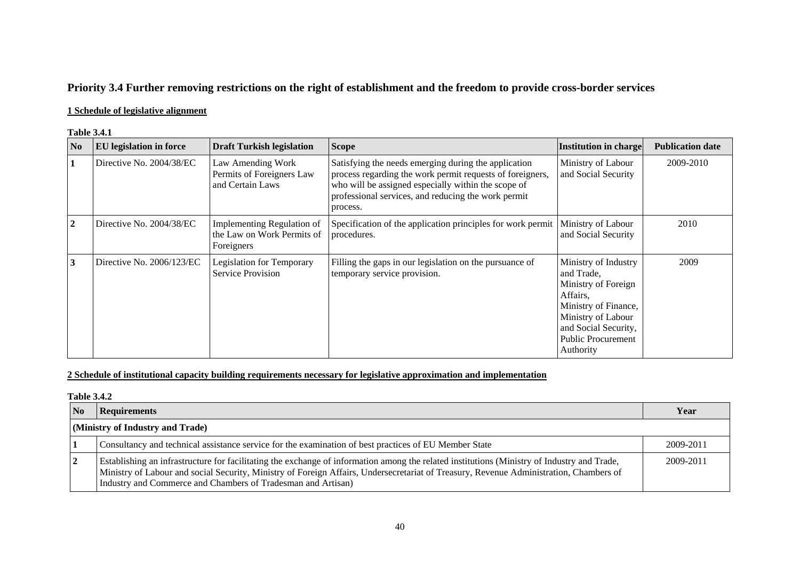## **Priority 3.4 Further removing restrictions on the right of establishment and the freedom to provide cross-border services**

### **1 Schedule of legislative alignment**

#### **Table 3.4.1**

| N <sub>0</sub> | <b>EU</b> legislation in force | <b>Draft Turkish legislation</b>                                       | <b>Scope</b>                                                                                                                                                                                                                                | Institution in charge                                                                                                                                                                 | <b>Publication date</b> |
|----------------|--------------------------------|------------------------------------------------------------------------|---------------------------------------------------------------------------------------------------------------------------------------------------------------------------------------------------------------------------------------------|---------------------------------------------------------------------------------------------------------------------------------------------------------------------------------------|-------------------------|
| 1              | Directive No. 2004/38/EC       | Law Amending Work<br>Permits of Foreigners Law<br>and Certain Laws     | Satisfying the needs emerging during the application<br>process regarding the work permit requests of foreigners,<br>who will be assigned especially within the scope of<br>professional services, and reducing the work permit<br>process. | Ministry of Labour<br>and Social Security                                                                                                                                             | 2009-2010               |
| $\overline{2}$ | Directive No. 2004/38/EC       | Implementing Regulation of<br>the Law on Work Permits of<br>Foreigners | Specification of the application principles for work permit<br>procedures.                                                                                                                                                                  | Ministry of Labour<br>and Social Security                                                                                                                                             | 2010                    |
| 3              | Directive No. $2006/123/EC$    | Legislation for Temporary<br>Service Provision                         | Filling the gaps in our legislation on the pursuance of<br>temporary service provision.                                                                                                                                                     | Ministry of Industry<br>and Trade,<br>Ministry of Foreign<br>Affairs,<br>Ministry of Finance,<br>Ministry of Labour<br>and Social Security,<br><b>Public Procurement</b><br>Authority | 2009                    |

### **2 Schedule of institutional capacity building requirements necessary for legislative approximation and implementation**

#### **Table 3.4.2**

| $\overline{\text{No}}$ | Requirements                                                                                                                                                                                                                                                                                                                                          | Year      |
|------------------------|-------------------------------------------------------------------------------------------------------------------------------------------------------------------------------------------------------------------------------------------------------------------------------------------------------------------------------------------------------|-----------|
|                        | (Ministry of Industry and Trade)                                                                                                                                                                                                                                                                                                                      |           |
|                        | Consultancy and technical assistance service for the examination of best practices of EU Member State                                                                                                                                                                                                                                                 | 2009-2011 |
| $\mathbf{2}$           | Establishing an infrastructure for facilitating the exchange of information among the related institutions (Ministry of Industry and Trade,<br>Ministry of Labour and social Security, Ministry of Foreign Affairs, Undersecretariat of Treasury, Revenue Administration, Chambers of<br>Industry and Commerce and Chambers of Tradesman and Artisan) | 2009-2011 |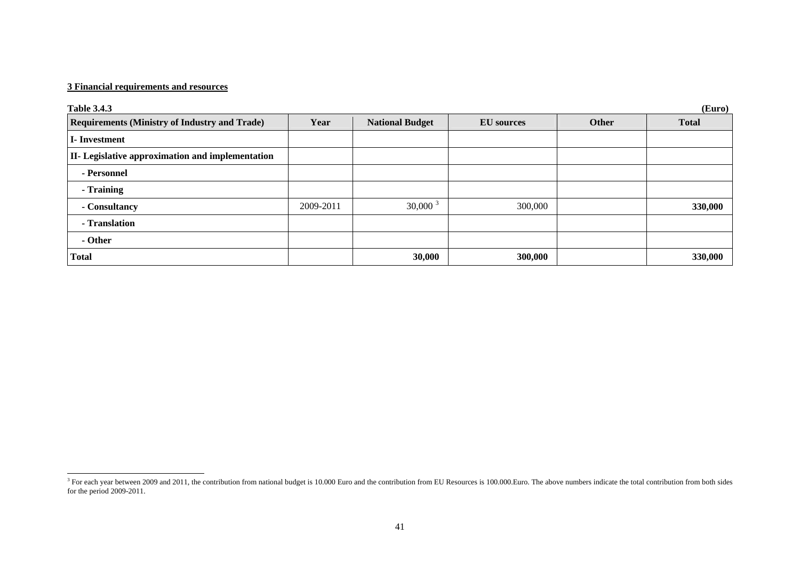#### **3 Financial requirements and resources**

| (Euro)<br><b>Table 3.4.3</b>                         |           |                        |                   |       |              |
|------------------------------------------------------|-----------|------------------------|-------------------|-------|--------------|
| <b>Requirements (Ministry of Industry and Trade)</b> | Year      | <b>National Budget</b> | <b>EU</b> sources | Other | <b>Total</b> |
| <b>I</b> -Investment                                 |           |                        |                   |       |              |
| II- Legislative approximation and implementation     |           |                        |                   |       |              |
| - Personnel                                          |           |                        |                   |       |              |
| - Training                                           |           |                        |                   |       |              |
| - Consultancy                                        | 2009-2011 | $30,000^3$             | 300,000           |       | 330,000      |
| - Translation                                        |           |                        |                   |       |              |
| - Other                                              |           |                        |                   |       |              |
| <b>Total</b>                                         |           | 30,000                 | 300,000           |       | 330,000      |

<span id="page-7-0"></span> $3$  For each year between 2009 and 2011, the contribution from national budget is 10.000 Euro and the contribution from BU Resources is 100.000.Euro. The above numbers indicate the total contribution from both sides for the period 2009-2011.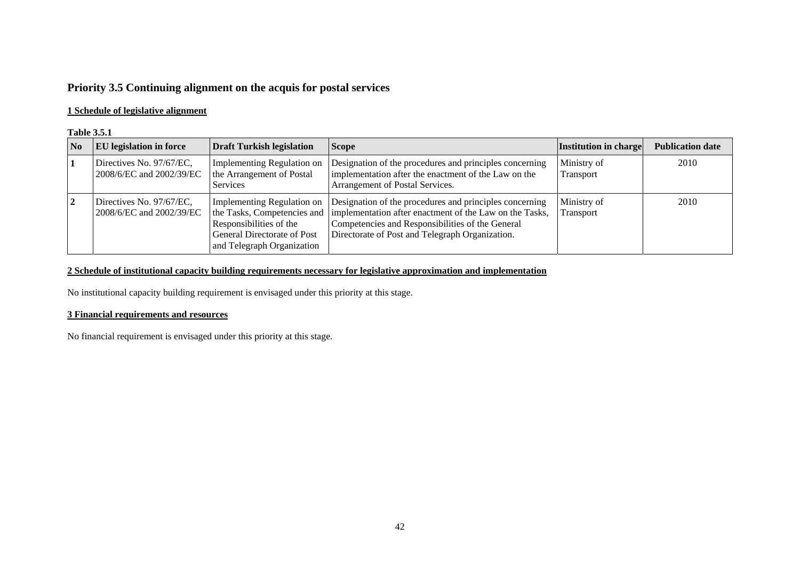## **Priority 3.5 Continuing alignment on the acquis for postal services**

### **1 Schedule of legislative alignment**

#### **Table 3.5.1**

| N <sub>0</sub> | <b>EU</b> legislation in force                       | <b>Draft Turkish legislation</b>                                                                                          | <b>Scope</b>                                                                                                                                                                                                                                           | <b>Institution in charge</b> | <b>Publication date</b> |
|----------------|------------------------------------------------------|---------------------------------------------------------------------------------------------------------------------------|--------------------------------------------------------------------------------------------------------------------------------------------------------------------------------------------------------------------------------------------------------|------------------------------|-------------------------|
|                | Directives No. 97/67/EC,<br>2008/6/EC and 2002/39/EC | Implementing Regulation on<br>the Arrangement of Postal<br><b>Services</b>                                                | Designation of the procedures and principles concerning<br>implementation after the enactment of the Law on the<br>Arrangement of Postal Services.                                                                                                     | Ministry of<br>Transport     | 2010                    |
|                | Directives No. 97/67/EC,<br>2008/6/EC and 2002/39/EC | Implementing Regulation on<br>Responsibilities of the<br><b>General Directorate of Post</b><br>and Telegraph Organization | Designation of the procedures and principles concerning<br>the Tasks, Competencies and  implementation after enactment of the Law on the Tasks,<br>Competencies and Responsibilities of the General<br>Directorate of Post and Telegraph Organization. | Ministry of<br>Transport     | 2010                    |

#### **2 Schedule of institutional capacity building requirements necessary for legislative approximation and implementation**

No institutional capacity building requirement is envisaged under this priority at this stage.

#### **3 Financial requirements and resources**

No financial requirement is envisaged under this priority at this stage.